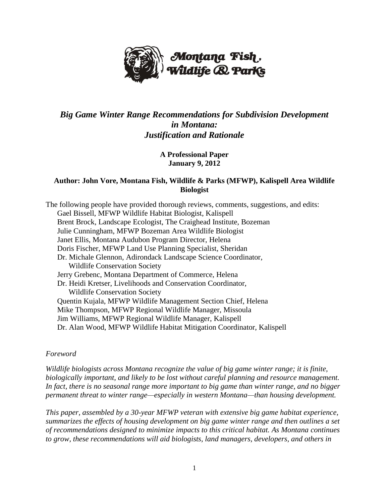

# *Big Game Winter Range Recommendations for Subdivision Development in Montana: Justification and Rationale*

**A Professional Paper January 9, 2012**

## **Author: John Vore, Montana Fish, Wildlife & Parks (MFWP), Kalispell Area Wildlife Biologist**

The following people have provided thorough reviews, comments, suggestions, and edits: Gael Bissell, MFWP Wildlife Habitat Biologist, Kalispell Brent Brock, Landscape Ecologist, The Craighead Institute, Bozeman Julie Cunningham, MFWP Bozeman Area Wildlife Biologist Janet Ellis, Montana Audubon Program Director, Helena Doris Fischer, MFWP Land Use Planning Specialist, Sheridan Dr. Michale Glennon, Adirondack Landscape Science Coordinator, Wildlife Conservation Society Jerry Grebenc, Montana Department of Commerce, Helena Dr. Heidi Kretser, Livelihoods and Conservation Coordinator, Wildlife Conservation Society Quentin Kujala, MFWP Wildlife Management Section Chief, Helena Mike Thompson, MFWP Regional Wildlife Manager, Missoula Jim Williams, MFWP Regional Wildlife Manager, Kalispell Dr. Alan Wood, MFWP Wildlife Habitat Mitigation Coordinator, Kalispell

## *Foreword*

*Wildlife biologists across Montana recognize the value of big game winter range; it is finite, biologically important, and likely to be lost without careful planning and resource management. In fact, there is no seasonal range more important to big game than winter range, and no bigger permanent threat to winter range—especially in western Montana—than housing development.* 

*This paper, assembled by a 30-year MFWP veteran with extensive big game habitat experience, summarizes the effects of housing development on big game winter range and then outlines a set of recommendations designed to minimize impacts to this critical habitat. As Montana continues to grow, these recommendations will aid biologists, land managers, developers, and others in*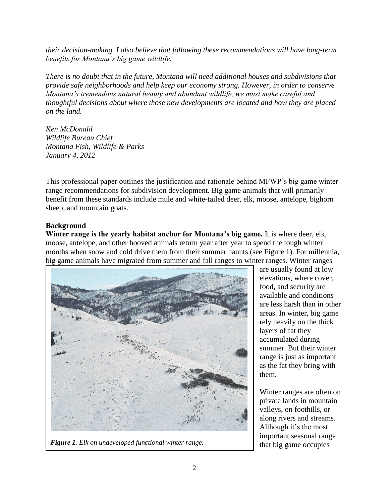*their decision-making. I also believe that following these recommendations will have long-term benefits for Montana's big game wildlife.*

*There is no doubt that in the future, Montana will need additional houses and subdivisions that provide safe neighborhoods and help keep our economy strong. However, in order to conserve Montana's tremendous natural beauty and abundant wildlife, we must make careful and thoughtful decisions about where those new developments are located and how they are placed on the land.* 

*Ken McDonald Wildlife Bureau Chief Montana Fish, Wildlife & Parks January 4, 2012*

This professional paper outlines the justification and rationale behind MFWP's big game winter range recommendations for subdivision development. Big game animals that will primarily benefit from these standards include mule and white-tailed deer, elk, moose, antelope, bighorn sheep, and mountain goats.

\_\_\_\_\_\_\_\_\_\_\_\_\_\_\_\_\_\_\_\_\_\_\_\_\_\_\_\_\_\_\_\_\_\_\_\_\_\_\_\_\_\_\_\_\_\_\_\_\_\_\_\_\_\_

# **Background**

**Winter range is the yearly habitat anchor for Montana's big game.** It is where deer, elk, moose, antelope, and other hooved animals return year after year to spend the tough winter months when snow and cold drive them from their summer haunts (see Figure 1). For millennia, big game animals have migrated from summer and fall ranges to winter ranges. Winter ranges



*Figure 1. Elk on undeveloped functional winter range.* $\qquad$  **that big game occupies** 

are usually found at low elevations, where cover, food, and security are available and conditions are less harsh than in other areas. In winter, big game rely heavily on the thick layers of fat they accumulated during summer. But their winter range is just as important as the fat they bring with them.

Winter ranges are often on private lands in mountain valleys, on foothills, or along rivers and streams. Although it's the most important seasonal range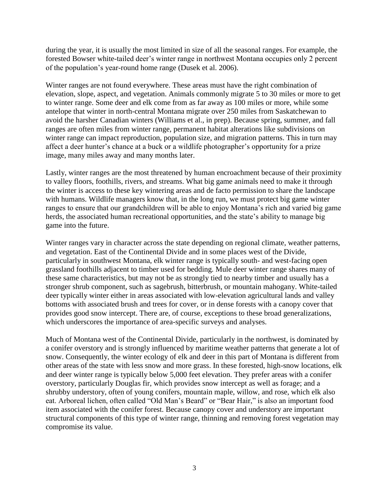during the year, it is usually the most limited in size of all the seasonal ranges. For example, the forested Bowser white-tailed deer's winter range in northwest Montana occupies only 2 percent of the population's year-round home range (Dusek et al. 2006).

Winter ranges are not found everywhere. These areas must have the right combination of elevation, slope, aspect, and vegetation. Animals commonly migrate 5 to 30 miles or more to get to winter range. Some deer and elk come from as far away as 100 miles or more, while some antelope that winter in north-central Montana migrate over 250 miles from Saskatchewan to avoid the harsher Canadian winters (Williams et al., in prep). Because spring, summer, and fall ranges are often miles from winter range, permanent habitat alterations like subdivisions on winter range can impact reproduction, population size, and migration patterns. This in turn may affect a deer hunter's chance at a buck or a wildlife photographer's opportunity for a prize image, many miles away and many months later.

Lastly, winter ranges are the most threatened by human encroachment because of their proximity to valley floors, foothills, rivers, and streams. What big game animals need to make it through the winter is access to these key wintering areas and de facto permission to share the landscape with humans. Wildlife managers know that, in the long run, we must protect big game winter ranges to ensure that our grandchildren will be able to enjoy Montana's rich and varied big game herds, the associated human recreational opportunities, and the state's ability to manage big game into the future.

Winter ranges vary in character across the state depending on regional climate, weather patterns, and vegetation. East of the Continental Divide and in some places west of the Divide, particularly in southwest Montana, elk winter range is typically south- and west-facing open grassland foothills adjacent to timber used for bedding. Mule deer winter range shares many of these same characteristics, but may not be as strongly tied to nearby timber and usually has a stronger shrub component, such as sagebrush, bitterbrush, or mountain mahogany. White-tailed deer typically winter either in areas associated with low-elevation agricultural lands and valley bottoms with associated brush and trees for cover, or in dense forests with a canopy cover that provides good snow intercept. There are, of course, exceptions to these broad generalizations, which underscores the importance of area-specific surveys and analyses.

Much of Montana west of the Continental Divide, particularly in the northwest, is dominated by a conifer overstory and is strongly influenced by maritime weather patterns that generate a lot of snow. Consequently, the winter ecology of elk and deer in this part of Montana is different from other areas of the state with less snow and more grass. In these forested, high-snow locations, elk and deer winter range is typically below 5,000 feet elevation. They prefer areas with a conifer overstory, particularly Douglas fir, which provides snow intercept as well as forage; and a shrubby understory, often of young conifers, mountain maple, willow, and rose, which elk also eat. Arboreal lichen, often called "Old Man's Beard" or "Bear Hair," is also an important food item associated with the conifer forest. Because canopy cover and understory are important structural components of this type of winter range, thinning and removing forest vegetation may compromise its value.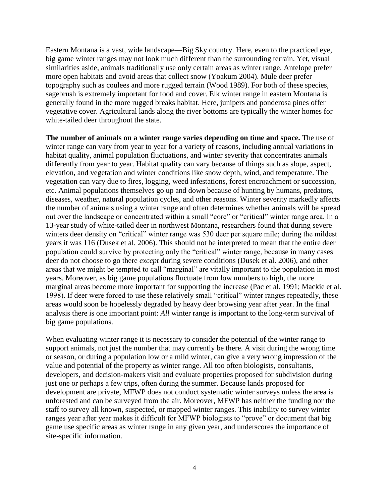Eastern Montana is a vast, wide landscape—Big Sky country. Here, even to the practiced eye, big game winter ranges may not look much different than the surrounding terrain. Yet, visual similarities aside, animals traditionally use only certain areas as winter range. Antelope prefer more open habitats and avoid areas that collect snow (Yoakum 2004). Mule deer prefer topography such as coulees and more rugged terrain (Wood 1989). For both of these species, sagebrush is extremely important for food and cover. Elk winter range in eastern Montana is generally found in the more rugged breaks habitat. Here, junipers and ponderosa pines offer vegetative cover. Agricultural lands along the river bottoms are typically the winter homes for white-tailed deer throughout the state.

**The number of animals on a winter range varies depending on time and space.** The use of winter range can vary from year to year for a variety of reasons, including annual variations in habitat quality, animal population fluctuations, and winter severity that concentrates animals differently from year to year. Habitat quality can vary because of things such as slope, aspect, elevation, and vegetation and winter conditions like snow depth, wind, and temperature. The vegetation can vary due to fires, logging, weed infestations, forest encroachment or succession, etc. Animal populations themselves go up and down because of hunting by humans, predators, diseases, weather, natural population cycles, and other reasons. Winter severity markedly affects the number of animals using a winter range and often determines whether animals will be spread out over the landscape or concentrated within a small "core" or "critical" winter range area. In a 13-year study of white-tailed deer in northwest Montana, researchers found that during severe winters deer density on "critical" winter range was 530 deer per square mile; during the mildest years it was 116 (Dusek et al. 2006). This should not be interpreted to mean that the entire deer population could survive by protecting only the "critical" winter range, because in many cases deer do not choose to go there *except* during severe conditions (Dusek et al. 2006), and other areas that we might be tempted to call "marginal" are vitally important to the population in most years. Moreover, as big game populations fluctuate from low numbers to high, the more marginal areas become more important for supporting the increase (Pac et al. 1991; Mackie et al. 1998). If deer were forced to use these relatively small "critical" winter ranges repeatedly, these areas would soon be hopelessly degraded by heavy deer browsing year after year. In the final analysis there is one important point: *All* winter range is important to the long-term survival of big game populations.

When evaluating winter range it is necessary to consider the potential of the winter range to support animals, not just the number that may currently be there. A visit during the wrong time or season, or during a population low or a mild winter, can give a very wrong impression of the value and potential of the property as winter range. All too often biologists, consultants, developers, and decision-makers visit and evaluate properties proposed for subdivision during just one or perhaps a few trips, often during the summer. Because lands proposed for development are private, MFWP does not conduct systematic winter surveys unless the area is unforested and can be surveyed from the air. Moreover, MFWP has neither the funding nor the staff to survey all known, suspected, or mapped winter ranges. This inability to survey winter ranges year after year makes it difficult for MFWP biologists to "prove" or document that big game use specific areas as winter range in any given year, and underscores the importance of site-specific information.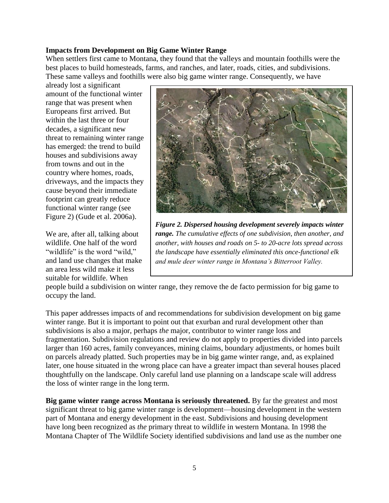#### **Impacts from Development on Big Game Winter Range**

When settlers first came to Montana, they found that the valleys and mountain foothills were the best places to build homesteads, farms, and ranches, and later, roads, cities, and subdivisions. These same valleys and foothills were also big game winter range. Consequently, we have

already lost a significant amount of the functional winter range that was present when Europeans first arrived. But within the last three or four decades, a significant new threat to remaining winter range has emerged: the trend to build houses and subdivisions away from towns and out in the country where homes, roads, driveways, and the impacts they cause beyond their immediate footprint can greatly reduce functional winter range (see Figure 2) (Gude et al. 2006a).

We are, after all, talking about wildlife. One half of the word "wildlife" is the word "wild," and land use changes that make an area less wild make it less suitable for wildlife. When



*Figure 2. Dispersed housing development severely impacts winter range. The cumulative effects of one subdivision, then another, and another, with houses and roads on 5- to 20-acre lots spread across the landscape have essentially eliminated this once-functional elk and mule deer winter range in Montana's Bitterroot Valley.*

people build a subdivision on winter range, they remove the de facto permission for big game to occupy the land.

*The worst type of subdivision on prime elk winter range in the Bitterroot*  This paper addresses impacts of and recommendations for subdivision development on big game winter range. But it is important to point out that exurban and rural development other than subdivisions is also a major, perhaps *the* major, contributor to winter range loss and fragmentation. Subdivision regulations and review do not apply to properties divided into parcels larger than 160 acres, family conveyances, mining claims, boundary adjustments, or homes built on parcels already platted. Such properties may be in big game winter range, and, as explained later, one house situated in the wrong place can have a greater impact than several houses placed thoughtfully on the landscape. Only careful land use planning on a landscape scale will address the loss of winter range in the long term.

Big game winter range across Montana is seriously threatened. By far the greatest and most significant threat to big game winter range is development—housing development in the western part of Montana and energy development in the east. Subdivisions and housing development have long been recognized as *the* primary threat to wildlife in western Montana. In 1998 the Montana Chapter of The Wildlife Society identified subdivisions and land use as the number one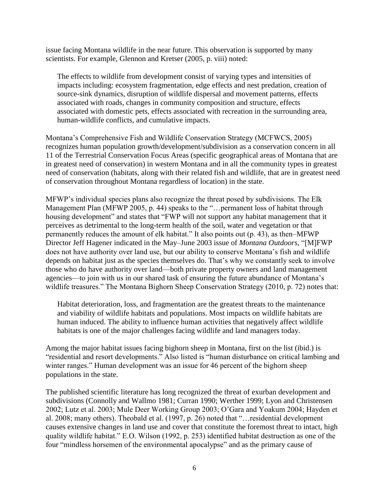issue facing Montana wildlife in the near future. This observation is supported by many scientists. For example, Glennon and Kretser (2005, p. viii) noted:

The effects to wildlife from development consist of varying types and intensities of impacts including: ecosystem fragmentation, edge effects and nest predation, creation of source-sink dynamics, disruption of wildlife dispersal and movement patterns, effects associated with roads, changes in community composition and structure, effects associated with domestic pets, effects associated with recreation in the surrounding area, human-wildlife conflicts, and cumulative impacts.

Montana's Comprehensive Fish and Wildlife Conservation Strategy (MCFWCS, 2005) recognizes human population growth/development/subdivision as a conservation concern in all 11 of the Terrestrial Conservation Focus Areas (specific geographical areas of Montana that are in greatest need of conservation) in western Montana and in all the community types in greatest need of conservation (habitats, along with their related fish and wildlife, that are in greatest need of conservation throughout Montana regardless of location) in the state.

MFWP's individual species plans also recognize the threat posed by subdivisions. The Elk Management Plan (MFWP 2005, p. 44) speaks to the "... permanent loss of habitat through housing development" and states that "FWP will not support any habitat management that it perceives as detrimental to the long-term health of the soil, water and vegetation or that permanently reduces the amount of elk habitat." It also points out (p. 43), as then–MFWP Director Jeff Hagener indicated in the May–June 2003 issue of *Montana Outdoors*, "[M]FWP does not have authority over land use, but our ability to conserve Montana's fish and wildlife depends on habitat just as the species themselves do. That's why we constantly seek to involve those who do have authority over land—both private property owners and land management agencies—to join with us in our shared task of ensuring the future abundance of Montana's wildlife treasures." The Montana Bighorn Sheep Conservation Strategy (2010, p. 72) notes that:

Habitat deterioration, loss, and fragmentation are the greatest threats to the maintenance and viability of wildlife habitats and populations. Most impacts on wildlife habitats are human induced. The ability to influence human activities that negatively affect wildlife habitats is one of the major challenges facing wildlife and land managers today.

Among the major habitat issues facing bighorn sheep in Montana, first on the list (ibid.) is "residential and resort developments." Also listed is "human disturbance on critical lambing and winter ranges." Human development was an issue for 46 percent of the bighorn sheep populations in the state.

The published scientific literature has long recognized the threat of exurban development and subdivisions (Connolly and Wallmo 1981; Curran 1990; Werther 1999; Lyon and Christensen 2002; Lutz et al. 2003; Mule Deer Working Group 2003; O'Gara and Yoakum 2004; Hayden et al. 2008; many others). Theobald et al. (1997, p. 26) noted that "... residential development causes extensive changes in land use and cover that constitute the foremost threat to intact, high quality wildlife habitat." E.O. Wilson (1992, p. 253) identified habitat destruction as one of the four "mindless horsemen of the environmental apocalypse" and as the primary cause of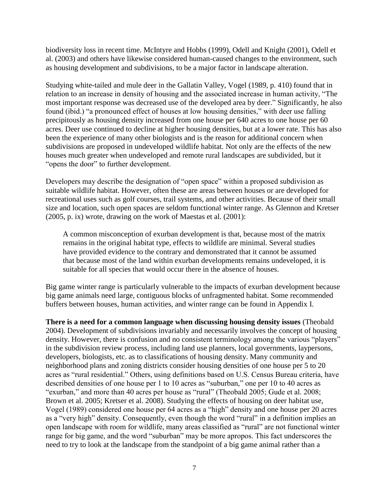biodiversity loss in recent time. McIntyre and Hobbs (1999), Odell and Knight (2001), Odell et al. (2003) and others have likewise considered human-caused changes to the environment, such as housing development and subdivisions, to be a major factor in landscape alteration.

Studying white-tailed and mule deer in the Gallatin Valley, Vogel (1989, p. 410) found that in relation to an increase in density of housing and the associated increase in human activity, "The most important response was decreased use of the developed area by deer." Significantly, he also found (ibid.) "a pronounced effect of houses at low housing densities," with deer use falling precipitously as housing density increased from one house per 640 acres to one house per 60 acres. Deer use continued to decline at higher housing densities, but at a lower rate. This has also been the experience of many other biologists and is the reason for additional concern when subdivisions are proposed in undeveloped wildlife habitat. Not only are the effects of the new houses much greater when undeveloped and remote rural landscapes are subdivided, but it "opens the door" to further development.

Developers may describe the designation of "open space" within a proposed subdivision as suitable wildlife habitat. However, often these are areas between houses or are developed for recreational uses such as golf courses, trail systems, and other activities. Because of their small size and location, such open spaces are seldom functional winter range. As Glennon and Kretser (2005, p. ix) wrote, drawing on the work of Maestas et al. (2001):

A common misconception of exurban development is that, because most of the matrix remains in the original habitat type, effects to wildlife are minimal. Several studies have provided evidence to the contrary and demonstrated that it cannot be assumed that because most of the land within exurban developments remains undeveloped, it is suitable for all species that would occur there in the absence of houses.

Big game winter range is particularly vulnerable to the impacts of exurban development because big game animals need large, contiguous blocks of unfragmented habitat. Some recommended buffers between houses, human activities, and winter range can be found in Appendix I.

**There is a need for a common language when discussing housing density issues** (Theobald 2004). Development of subdivisions invariably and necessarily involves the concept of housing density. However, there is confusion and no consistent terminology among the various "players" in the subdivision review process, including land use planners, local governments, laypersons, developers, biologists, etc. as to classifications of housing density. Many community and neighborhood plans and zoning districts consider housing densities of one house per 5 to 20 acres as "rural residential." Others, using definitions based on U.S. Census Bureau criteria, have described densities of one house per 1 to 10 acres as "suburban," one per 10 to 40 acres as "exurban," and more than 40 acres per house as "rural" (Theobald 2005; Gude et al. 2008; Brown et al. 2005; Kretser et al. 2008). Studying the effects of housing on deer habitat use, Vogel (1989) considered one house per 64 acres as a "high" density and one house per 20 acres as a "very high" density. Consequently, even though the word "rural" in a definition implies an open landscape with room for wildlife, many areas classified as "rural" are not functional winter range for big game, and the word "suburban" may be more apropos. This fact underscores the need to try to look at the landscape from the standpoint of a big game animal rather than a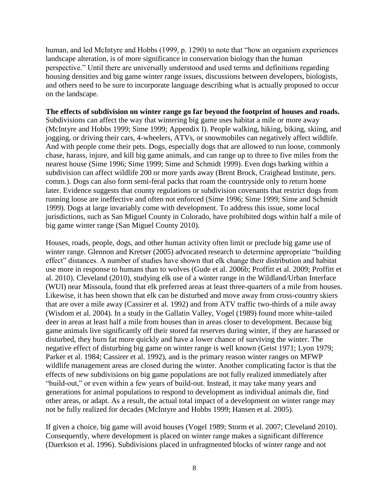human, and led McIntyre and Hobbs (1999, p. 1290) to note that "how an organism experiences landscape alteration, is of more significance in conservation biology than the human perspective." Until there are universally understood and used terms and definitions regarding housing densities and big game winter range issues, discussions between developers, biologists, and others need to be sure to incorporate language describing what is actually proposed to occur on the landscape.

**The effects of subdivision on winter range go far beyond the footprint of houses and roads.**  Subdivisions can affect the way that wintering big game uses habitat a mile or more away (McIntyre and Hobbs 1999; Sime 1999; Appendix I). People walking, hiking, biking, skiing, and jogging, or driving their cars, 4-wheelers, ATVs, or snowmobiles can negatively affect wildlife. And with people come their pets. Dogs, especially dogs that are allowed to run loose, commonly chase, harass, injure, and kill big game animals, and can range up to three to five miles from the nearest house (Sime 1996; Sime 1999; Sime and Schmidt 1999). Even dogs barking within a subdivision can affect wildlife 200 or more yards away (Brent Brock, Craighead Institute, pers. comm.). Dogs can also form semi-feral packs that roam the countryside only to return home later. Evidence suggests that county regulations or subdivision covenants that restrict dogs from running loose are ineffective and often not enforced (Sime 1996; Sime 1999; Sime and Schmidt 1999). Dogs at large invariably come with development. To address this issue, some local jurisdictions, such as San Miguel County in Colorado, have prohibited dogs within half a mile of big game winter range (San Miguel County 2010).

Houses, roads, people, dogs, and other human activity often limit or preclude big game use of winter range. Glennon and Kretser (2005) advocated research to determine appropriate "building effect" distances. A number of studies have shown that elk change their distribution and habitat use more in response to humans than to wolves (Gude et al. 2006b; Proffitt et al. 2009; Proffitt et al. 2010). Cleveland (2010), studying elk use of a winter range in the Wildland/Urban Interface (WUI) near Missoula, found that elk preferred areas at least three-quarters of a mile from houses. Likewise, it has been shown that elk can be disturbed and move away from cross-country skiers that are over a mile away (Cassirer et al. 1992) and from ATV traffic two-thirds of a mile away (Wisdom et al. 2004). In a study in the Gallatin Valley, Vogel (1989) found more white-tailed deer in areas at least half a mile from houses than in areas closer to development. Because big game animals live significantly off their stored fat reserves during winter, if they are harassed or disturbed, they burn fat more quickly and have a lower chance of surviving the winter. The negative effect of disturbing big game on winter range is well known (Geist 1971; Lyon 1979; Parker et al. 1984; Cassirer et al. 1992), and is the primary reason winter ranges on MFWP wildlife management areas are closed during the winter. Another complicating factor is that the effects of new subdivisions on big game populations are not fully realized immediately after "build-out," or even within a few years of build-out. Instead, it may take many years and generations for animal populations to respond to development as individual animals die, find other areas, or adapt. As a result, the actual total impact of a development on winter range may not be fully realized for decades (McIntyre and Hobbs 1999; Hansen et al. 2005).

If given a choice, big game will avoid houses (Vogel 1989; Storm et al. 2007; Cleveland 2010). Consequently, where development is placed on winter range makes a significant difference (Duerkson et al. 1996). Subdivisions placed in unfragmented blocks of winter range and not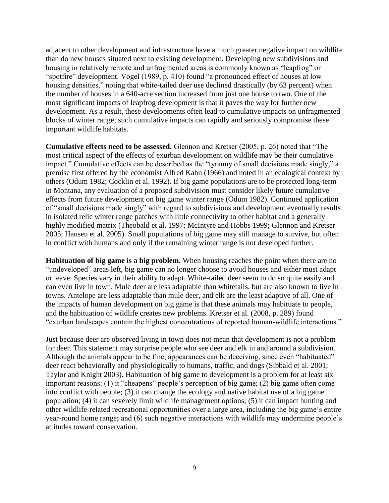adjacent to other development and infrastructure have a much greater negative impact on wildlife than do new houses situated next to existing development. Developing new subdivisions and housing in relatively remote and unfragmented areas is commonly known as "leapfrog" or "spotfire" development. Vogel (1989, p. 410) found "a pronounced effect of houses at low housing densities," noting that white-tailed deer use declined drastically (by 63 percent) when the number of houses in a 640-acre section increased from just one house to two. One of the most significant impacts of leapfrog development is that it paves the way for further new development. As a result, these developments often lead to cumulative impacts on unfragmented blocks of winter range; such cumulative impacts can rapidly and seriously compromise these important wildlife habitats.

**Cumulative effects need to be assessed.** Glennon and Kretser (2005, p. 26) noted that "The most critical aspect of the effects of exurban development on wildlife may be their cumulative impact." Cumulative effects can be described as the "tyranny of small decisions made singly," a premise first offered by the economist Alfred Kahn (1966) and noted in an ecological context by others (Odum 1982; Cocklin et al. 1992). If big game populations are to be protected long-term in Montana, any evaluation of a proposed subdivision must consider likely future cumulative effects from future development on big game winter range (Odum 1982). Continued application of "small decisions made singly" with regard to subdivisions and development eventually results in isolated relic winter range patches with little connectivity to other habitat and a generally highly modified matrix (Theobald et al. 1997; McIntyre and Hobbs 1999; Glennon and Kretser 2005; Hansen et al. 2005). Small populations of big game may still manage to survive, but often in conflict with humans and only if the remaining winter range is not developed further.

**Habituation of big game is a big problem.** When housing reaches the point when there are no "undeveloped" areas left, big game can no longer choose to avoid houses and either must adapt or leave. Species vary in their ability to adapt. White-tailed deer seem to do so quite easily and can even live in town. Mule deer are less adaptable than whitetails, but are also known to live in towns. Antelope are less adaptable than mule deer, and elk are the least adaptive of all. One of the impacts of human development on big game is that these animals may habituate to people, and the habituation of wildlife creates new problems. Kretser et al. (2008, p. 289) found "exurban landscapes contain the highest concentrations of reported human-wildlife interactions."

Just because deer are observed living in town does not mean that development is not a problem for deer. This statement may surprise people who see deer and elk in and around a subdivision. Although the animals appear to be fine, appearances can be deceiving, since even "habituated" deer react behaviorally and physiologically to humans, traffic, and dogs (Sibbald et al. 2001; Taylor and Knight 2003). Habituation of big game to development is a problem for at least six important reasons: (1) it "cheapens" people's perception of big game; (2) big game often come into conflict with people; (3) it can change the ecology and native habitat use of a big game population; (4) it can severely limit wildlife management options; (5) it can impact hunting and other wildlife-related recreational opportunities over a large area, including the big game's entire year-round home range; and (6) such negative interactions with wildlife may undermine people's attitudes toward conservation.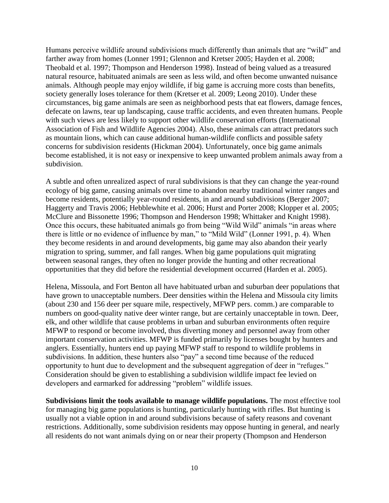Humans perceive wildlife around subdivisions much differently than animals that are "wild" and farther away from homes (Lonner 1991; Glennon and Kretser 2005; Hayden et al. 2008; Theobald et al. 1997; Thompson and Henderson 1998). Instead of being valued as a treasured natural resource, habituated animals are seen as less wild, and often become unwanted nuisance animals. Although people may enjoy wildlife, if big game is accruing more costs than benefits, society generally loses tolerance for them (Kretser et al. 2009; Leong 2010). Under these circumstances, big game animals are seen as neighborhood pests that eat flowers, damage fences, defecate on lawns, tear up landscaping, cause traffic accidents, and even threaten humans. People with such views are less likely to support other wildlife conservation efforts (International Association of Fish and Wildlife Agencies 2004). Also, these animals can attract predators such as mountain lions, which can cause additional human-wildlife conflicts and possible safety concerns for subdivision residents (Hickman 2004). Unfortunately, once big game animals become established, it is not easy or inexpensive to keep unwanted problem animals away from a subdivision.

A subtle and often unrealized aspect of rural subdivisions is that they can change the year-round ecology of big game, causing animals over time to abandon nearby traditional winter ranges and become residents, potentially year-round residents, in and around subdivisions (Berger 2007; Haggerty and Travis 2006; Hebblewhite et al. 2006; Hurst and Porter 2008; Klopper et al. 2005; McClure and Bissonette 1996; Thompson and Henderson 1998; Whittaker and Knight 1998). Once this occurs, these habituated animals go from being "Wild Wild" animals "in areas where there is little or no evidence of influence by man," to "Mild Wild" (Lonner 1991, p. 4). When they become residents in and around developments, big game may also abandon their yearly migration to spring, summer, and fall ranges. When big game populations quit migrating between seasonal ranges, they often no longer provide the hunting and other recreational opportunities that they did before the residential development occurred (Harden et al. 2005).

Helena, Missoula, and Fort Benton all have habituated urban and suburban deer populations that have grown to unacceptable numbers. Deer densities within the Helena and Missoula city limits (about 230 and 156 deer per square mile, respectively, MFWP pers. comm.) are comparable to numbers on good-quality native deer winter range, but are certainly unacceptable in town. Deer, elk, and other wildlife that cause problems in urban and suburban environments often require MFWP to respond or become involved, thus diverting money and personnel away from other important conservation activities. MFWP is funded primarily by licenses bought by hunters and anglers. Essentially, hunters end up paying MFWP staff to respond to wildlife problems in subdivisions. In addition, these hunters also "pay" a second time because of the reduced opportunity to hunt due to development and the subsequent aggregation of deer in "refuges." Consideration should be given to establishing a subdivision wildlife impact fee levied on developers and earmarked for addressing "problem" wildlife issues.

**Subdivisions limit the tools available to manage wildlife populations.** The most effective tool for managing big game populations is hunting, particularly hunting with rifles. But hunting is usually not a viable option in and around subdivisions because of safety reasons and covenant restrictions. Additionally, some subdivision residents may oppose hunting in general, and nearly all residents do not want animals dying on or near their property (Thompson and Henderson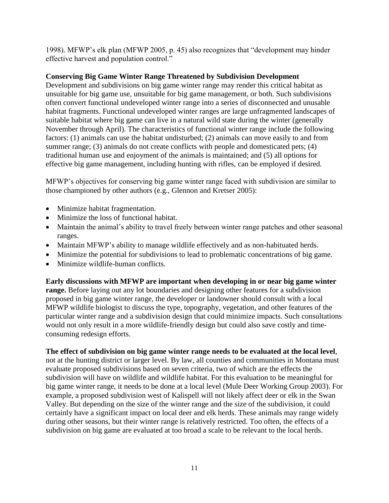1998). MFWP's elk plan (MFWP 2005, p. 45) also recognizes that "development may hinder effective harvest and population control."

# **Conserving Big Game Winter Range Threatened by Subdivision Development**

Development and subdivisions on big game winter range may render this critical habitat as unsuitable for big game use, unsuitable for big game management, or both. Such subdivisions often convert functional undeveloped winter range into a series of disconnected and unusable habitat fragments. Functional undeveloped winter ranges are large unfragmented landscapes of suitable habitat where big game can live in a natural wild state during the winter (generally November through April). The characteristics of functional winter range include the following factors: (1) animals can use the habitat undisturbed; (2) animals can move easily to and from summer range; (3) animals do not create conflicts with people and domesticated pets; (4) traditional human use and enjoyment of the animals is maintained; and (5) all options for effective big game management, including hunting with rifles, can be employed if desired.

MFWP's objectives for conserving big game winter range faced with subdivision are similar to those championed by other authors (e.g., Glennon and Kretser 2005):

- Minimize habitat fragmentation.
- Minimize the loss of functional habitat.
- Maintain the animal's ability to travel freely between winter range patches and other seasonal ranges.
- Maintain MFWP's ability to manage wildlife effectively and as non-habituated herds.
- Minimize the potential for subdivisions to lead to problematic concentrations of big game.
- Minimize wildlife-human conflicts.

**Early discussions with MFWP are important when developing in or near big game winter range.** Before laying out any lot boundaries and designing other features for a subdivision proposed in big game winter range, the developer or landowner should consult with a local MFWP wildlife biologist to discuss the type, topography, vegetation, and other features of the particular winter range and a subdivision design that could minimize impacts. Such consultations would not only result in a more wildlife-friendly design but could also save costly and timeconsuming redesign efforts.

## **The effect of subdivision on big game winter range needs to be evaluated at the local level**,

not at the hunting district or larger level. By law, all counties and communities in Montana must evaluate proposed subdivisions based on seven criteria, two of which are the effects the subdivision will have on wildlife and wildlife habitat. For this evaluation to be meaningful for big game winter range, it needs to be done at a local level (Mule Deer Working Group 2003). For example, a proposed subdivision west of Kalispell will not likely affect deer or elk in the Swan Valley. But depending on the size of the winter range and the size of the subdivision, it could certainly have a significant impact on local deer and elk herds. These animals may range widely during other seasons, but their winter range is relatively restricted. Too often, the effects of a subdivision on big game are evaluated at too broad a scale to be relevant to the local herds.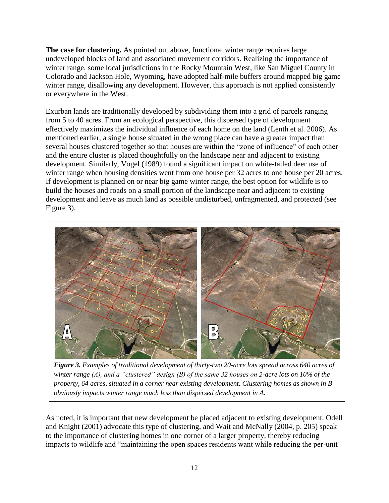**The case for clustering.** As pointed out above, functional winter range requires large undeveloped blocks of land and associated movement corridors. Realizing the importance of winter range, some local jurisdictions in the Rocky Mountain West, like San Miguel County in Colorado and Jackson Hole, Wyoming, have adopted half-mile buffers around mapped big game winter range, disallowing any development. However, this approach is not applied consistently or everywhere in the West.

Exurban lands are traditionally developed by subdividing them into a grid of parcels ranging from 5 to 40 acres. From an ecological perspective, this dispersed type of development effectively maximizes the individual influence of each home on the land (Lenth et al. 2006). As mentioned earlier, a single house situated in the wrong place can have a greater impact than several houses clustered together so that houses are within the "zone of influence" of each other and the entire cluster is placed thoughtfully on the landscape near and adjacent to existing development. Similarly, Vogel (1989) found a significant impact on white-tailed deer use of winter range when housing densities went from one house per 32 acres to one house per 20 acres. If development is planned on or near big game winter range, the best option for wildlife is to build the houses and roads on a small portion of the landscape near and adjacent to existing development and leave as much land as possible undisturbed, unfragmented, and protected (see Figure 3).



*Figure 3. Examples of traditional development of thirty-two 20-acre lots spread across 640 acres of winter range (A), and a "clustered" design (B) of the same 32 houses on 2-acre lots on 10% of the property, 64 acres, situated in a corner near existing development. Clustering homes as shown in B obviously impacts winter range much less than dispersed development in A.*

As noted, it is important that new development be placed adjacent to existing development. Odell and Knight (2001) advocate this type of clustering, and Wait and McNally (2004, p. 205) speak to the importance of clustering homes in one corner of a larger property, thereby reducing impacts to wildlife and "maintaining the open spaces residents want while reducing the per-unit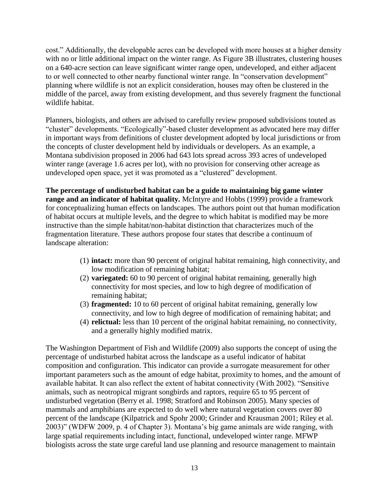cost.‖ Additionally, the developable acres can be developed with more houses at a higher density with no or little additional impact on the winter range. As Figure 3B illustrates, clustering houses on a 640-acre section can leave significant winter range open, undeveloped, and either adjacent to or well connected to other nearby functional winter range. In "conservation development" planning where wildlife is not an explicit consideration, houses may often be clustered in the middle of the parcel, away from existing development, and thus severely fragment the functional wildlife habitat.

Planners, biologists, and others are advised to carefully review proposed subdivisions touted as "cluster" developments. "Ecologically"-based cluster development as advocated here may differ in important ways from definitions of cluster development adopted by local jurisdictions or from the concepts of cluster development held by individuals or developers. As an example, a Montana subdivision proposed in 2006 had 643 lots spread across 393 acres of undeveloped winter range (average 1.6 acres per lot), with no provision for conserving other acreage as undeveloped open space, yet it was promoted as a "clustered" development.

**The percentage of undisturbed habitat can be a guide to maintaining big game winter range and an indicator of habitat quality.** McIntyre and Hobbs (1999) provide a framework for conceptualizing human effects on landscapes. The authors point out that human modification of habitat occurs at multiple levels, and the degree to which habitat is modified may be more instructive than the simple habitat/non-habitat distinction that characterizes much of the fragmentation literature. These authors propose four states that describe a continuum of landscape alteration:

- (1) **intact:** more than 90 percent of original habitat remaining, high connectivity, and low modification of remaining habitat;
- (2) **variegated:** 60 to 90 percent of original habitat remaining, generally high connectivity for most species, and low to high degree of modification of remaining habitat;
- (3) **fragmented:** 10 to 60 percent of original habitat remaining, generally low connectivity, and low to high degree of modification of remaining habitat; and
- (4) **relictual:** less than 10 percent of the original habitat remaining, no connectivity, and a generally highly modified matrix.

The Washington Department of Fish and Wildlife (2009) also supports the concept of using the percentage of undisturbed habitat across the landscape as a useful indicator of habitat composition and configuration. This indicator can provide a surrogate measurement for other important parameters such as the amount of edge habitat, proximity to homes, and the amount of available habitat. It can also reflect the extent of habitat connectivity (With 2002). "Sensitive animals, such as neotropical migrant songbirds and raptors, require 65 to 95 percent of undisturbed vegetation (Berry et al. 1998; Stratford and Robinson 2005). Many species of mammals and amphibians are expected to do well where natural vegetation covers over 80 percent of the landscape (Kilpatrick and Spohr 2000; Grinder and Krausman 2001; Riley et al. 2003)" (WDFW 2009, p. 4 of Chapter 3). Montana's big game animals are wide ranging, with large spatial requirements including intact, functional, undeveloped winter range. MFWP biologists across the state urge careful land use planning and resource management to maintain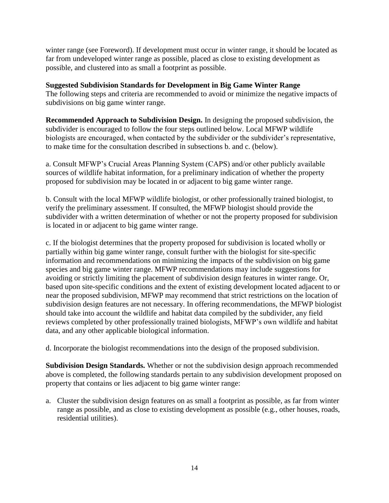winter range (see Foreword). If development must occur in winter range, it should be located as far from undeveloped winter range as possible, placed as close to existing development as possible, and clustered into as small a footprint as possible.

**Suggested Subdivision Standards for Development in Big Game Winter Range** The following steps and criteria are recommended to avoid or minimize the negative impacts of subdivisions on big game winter range.

**Recommended Approach to Subdivision Design.** In designing the proposed subdivision, the subdivider is encouraged to follow the four steps outlined below. Local MFWP wildlife biologists are encouraged, when contacted by the subdivider or the subdivider's representative, to make time for the consultation described in subsections b. and c. (below).

a. Consult MFWP's Crucial Areas Planning System (CAPS) and/or other publicly available sources of wildlife habitat information, for a preliminary indication of whether the property proposed for subdivision may be located in or adjacent to big game winter range.

b. Consult with the local MFWP wildlife biologist, or other professionally trained biologist, to verify the preliminary assessment. If consulted, the MFWP biologist should provide the subdivider with a written determination of whether or not the property proposed for subdivision is located in or adjacent to big game winter range.

c. If the biologist determines that the property proposed for subdivision is located wholly or partially within big game winter range, consult further with the biologist for site-specific information and recommendations on minimizing the impacts of the subdivision on big game species and big game winter range. MFWP recommendations may include suggestions for avoiding or strictly limiting the placement of subdivision design features in winter range. Or, based upon site-specific conditions and the extent of existing development located adjacent to or near the proposed subdivision, MFWP may recommend that strict restrictions on the location of subdivision design features are not necessary. In offering recommendations, the MFWP biologist should take into account the wildlife and habitat data compiled by the subdivider, any field reviews completed by other professionally trained biologists, MFWP's own wildlife and habitat data, and any other applicable biological information.

d. Incorporate the biologist recommendations into the design of the proposed subdivision.

**Subdivision Design Standards.** Whether or not the subdivision design approach recommended above is completed, the following standards pertain to any subdivision development proposed on property that contains or lies adjacent to big game winter range:

a. Cluster the subdivision design features on as small a footprint as possible, as far from winter range as possible, and as close to existing development as possible (e.g., other houses, roads, residential utilities).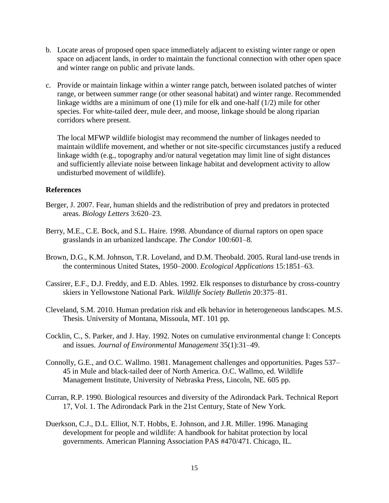- b. Locate areas of proposed open space immediately adjacent to existing winter range or open space on adjacent lands, in order to maintain the functional connection with other open space and winter range on public and private lands.
- c. Provide or maintain linkage within a winter range patch, between isolated patches of winter range, or between summer range (or other seasonal habitat) and winter range. Recommended linkage widths are a minimum of one (1) mile for elk and one-half (1/2) mile for other species. For white-tailed deer, mule deer, and moose, linkage should be along riparian corridors where present.

The local MFWP wildlife biologist may recommend the number of linkages needed to maintain wildlife movement, and whether or not site-specific circumstances justify a reduced linkage width (e.g., topography and/or natural vegetation may limit line of sight distances and sufficiently alleviate noise between linkage habitat and development activity to allow undisturbed movement of wildlife).

## **References**

- Berger, J. 2007. Fear, human shields and the redistribution of prey and predators in protected areas. *Biology Letters* 3:620–23.
- Berry, M.E., C.E. Bock, and S.L. Haire. 1998. Abundance of diurnal raptors on open space grasslands in an urbanized landscape. *The Condor* 100:601–8.
- Brown, D.G., K.M. Johnson, T.R. Loveland, and D.M. Theobald. 2005. Rural land-use trends in the conterminous United States, 1950–2000. *Ecological Applications* 15:1851–63.
- Cassirer, E.F., D.J. Freddy, and E.D. Ables. 1992. Elk responses to disturbance by cross-country skiers in Yellowstone National Park. *Wildlife Society Bulletin* 20:375–81.
- Cleveland, S.M. 2010. Human predation risk and elk behavior in heterogeneous landscapes. M.S. Thesis. University of Montana, Missoula, MT. 101 pp.
- Cocklin, C., S. Parker, and J. Hay. 1992. Notes on cumulative environmental change I: Concepts and issues. *Journal of Environmental Management* 35(1):31–49.
- Connolly, G.E., and O.C. Wallmo. 1981. Management challenges and opportunities. Pages 537– 45 in Mule and black-tailed deer of North America. O.C. Wallmo, ed. Wildlife Management Institute, University of Nebraska Press, Lincoln, NE. 605 pp.
- Curran, R.P. 1990. Biological resources and diversity of the Adirondack Park. Technical Report 17, Vol. 1. The Adirondack Park in the 21st Century, State of New York.
- Duerkson, C.J., D.L. Elliot, N.T. Hobbs, E. Johnson, and J.R. Miller. 1996. Managing development for people and wildlife: A handbook for habitat protection by local governments. American Planning Association PAS #470/471. Chicago, IL.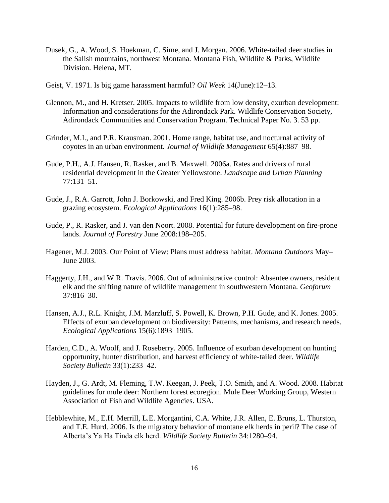- Dusek, G., A. Wood, S. Hoekman, C. Sime, and J. Morgan. 2006. White-tailed deer studies in the Salish mountains, northwest Montana. Montana Fish, Wildlife & Parks, Wildlife Division. Helena, MT.
- Geist, V. 1971. Is big game harassment harmful? *Oil Week* 14(June):12–13.
- Glennon, M., and H. Kretser. 2005. Impacts to wildlife from low density, exurban development: Information and considerations for the Adirondack Park. Wildlife Conservation Society, Adirondack Communities and Conservation Program. Technical Paper No. 3. 53 pp.
- Grinder, M.I., and P.R. Krausman. 2001. Home range, habitat use, and nocturnal activity of coyotes in an urban environment. *Journal of Wildlife Management* 65(4):887–98.
- Gude, P.H., A.J. Hansen, R. Rasker, and B. Maxwell. 2006a. Rates and drivers of rural residential development in the Greater Yellowstone. *Landscape and Urban Planning* 77:131–51.
- Gude, J., R.A. Garrott, John J. Borkowski, and Fred King. 2006b. Prey risk allocation in a grazing ecosystem. *Ecological Applications* 16(1):285–98.
- Gude, P., R. Rasker, and J. van den Noort. 2008. Potential for future development on fire-prone lands. *Journal of Forestry* June 2008:198–205.
- Hagener, M.J. 2003. Our Point of View: Plans must address habitat. *Montana Outdoors* May– June 2003.
- Haggerty, J.H., and W.R. Travis. 2006. Out of administrative control: Absentee owners, resident elk and the shifting nature of wildlife management in southwestern Montana. *Geoforum* 37:816–30.
- Hansen, A.J., R.L. Knight, J.M. Marzluff, S. Powell, K. Brown, P.H. Gude, and K. Jones. 2005. Effects of exurban development on biodiversity: Patterns, mechanisms, and research needs. *Ecological Applications* 15(6):1893–1905.
- Harden, C.D., A. Woolf, and J. Roseberry. 2005. Influence of exurban development on hunting opportunity, hunter distribution, and harvest efficiency of white-tailed deer. *Wildlife Society Bulletin* 33(1):233–42.
- Hayden, J., G. Ardt, M. Fleming, T.W. Keegan, J. Peek, T.O. Smith, and A. Wood. 2008. Habitat guidelines for mule deer: Northern forest ecoregion. Mule Deer Working Group, Western Association of Fish and Wildlife Agencies. USA.
- Hebblewhite, M., E.H. Merrill, L.E. Morgantini, C.A. White, J.R. Allen, E. Bruns, L. Thurston, and T.E. Hurd. 2006. Is the migratory behavior of montane elk herds in peril? The case of Alberta's Ya Ha Tinda elk herd. *Wildlife Society Bulletin* 34:1280–94.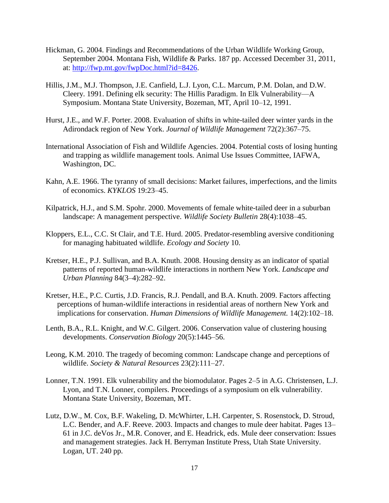- Hickman, G. 2004. Findings and Recommendations of the Urban Wildlife Working Group, September 2004. Montana Fish, Wildlife & Parks. 187 pp. Accessed December 31, 2011, at: [http://fwp.mt.gov/fwpDoc.html?id=8426.](http://fwp.mt.gov/fwpDoc.html?id=8426)
- Hillis, J.M., M.J. Thompson, J.E. Canfield, L.J. Lyon, C.L. Marcum, P.M. Dolan, and D.W. Cleery. 1991. Defining elk security: The Hillis Paradigm. In Elk Vulnerability—A Symposium. Montana State University, Bozeman, MT, April 10–12, 1991.
- Hurst, J.E., and W.F. Porter. 2008. Evaluation of shifts in white-tailed deer winter yards in the Adirondack region of New York. *Journal of Wildlife Management* 72(2):367–75.
- International Association of Fish and Wildlife Agencies. 2004. Potential costs of losing hunting and trapping as wildlife management tools. Animal Use Issues Committee, IAFWA, Washington, DC.
- Kahn, A.E. 1966. The tyranny of small decisions: Market failures, imperfections, and the limits of economics. *KYKLOS* 19:23–45.
- Kilpatrick, H.J., and S.M. Spohr. 2000. Movements of female white-tailed deer in a suburban landscape: A management perspective. *Wildlife Society Bulletin* 28(4):1038–45.
- Kloppers, E.L., C.C. St Clair, and T.E. Hurd. 2005. Predator-resembling aversive conditioning for managing habituated wildlife. *Ecology and Society* 10.
- Kretser, H.E., P.J. Sullivan, and B.A. Knuth. 2008. Housing density as an indicator of spatial patterns of reported human-wildlife interactions in northern New York. *Landscape and Urban Planning* 84(3–4):282–92.
- Kretser, H.E., P.C. Curtis, J.D. Francis, R.J. Pendall, and B.A. Knuth. 2009. Factors affecting perceptions of human-wildlife interactions in residential areas of northern New York and implications for conservation. *Human Dimensions of Wildlife Management.* 14(2):102–18.
- Lenth, B.A., R.L. Knight, and W.C. Gilgert. 2006. Conservation value of clustering housing developments. *Conservation Biology* 20(5):1445–56.
- Leong, K.M. 2010. The tragedy of becoming common: Landscape change and perceptions of wildlife. *Society & Natural Resources* 23(2):111–27.
- Lonner, T.N. 1991. Elk vulnerability and the biomodulator. Pages 2–5 in A.G. Christensen, L.J. Lyon, and T.N. Lonner, compilers. Proceedings of a symposium on elk vulnerability. Montana State University, Bozeman, MT.
- Lutz, D.W., M. Cox, B.F. Wakeling, D. McWhirter, L.H. Carpenter, S. Rosenstock, D. Stroud, L.C. Bender, and A.F. Reeve. 2003. Impacts and changes to mule deer habitat. Pages 13– 61 in J.C. deVos Jr., M.R. Conover, and E. Headrick, eds. Mule deer conservation: Issues and management strategies. Jack H. Berryman Institute Press, Utah State University. Logan, UT. 240 pp.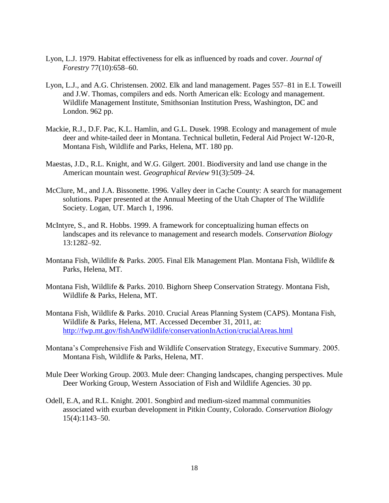- Lyon, L.J. 1979. Habitat effectiveness for elk as influenced by roads and cover. *Journal of Forestry* 77(10):658–60.
- Lyon, L.J., and A.G. Christensen. 2002. Elk and land management. Pages 557–81 in E.I. Toweill and J.W. Thomas, compilers and eds. North American elk: Ecology and management. Wildlife Management Institute, Smithsonian Institution Press, Washington, DC and London. 962 pp.
- Mackie, R.J., D.F. Pac, K.L. Hamlin, and G.L. Dusek. 1998. Ecology and management of mule deer and white-tailed deer in Montana. Technical bulletin, Federal Aid Project W-120-R, Montana Fish, Wildlife and Parks, Helena, MT. 180 pp.
- Maestas, J.D., R.L. Knight, and W.G. Gilgert. 2001. Biodiversity and land use change in the American mountain west. *Geographical Review* 91(3):509–24.
- McClure, M., and J.A. Bissonette. 1996. Valley deer in Cache County: A search for management solutions. Paper presented at the Annual Meeting of the Utah Chapter of The Wildlife Society. Logan, UT. March 1, 1996.
- McIntyre, S., and R. Hobbs. 1999. A framework for conceptualizing human effects on landscapes and its relevance to management and research models. *Conservation Biology*  13:1282–92.
- Montana Fish, Wildlife & Parks. 2005. Final Elk Management Plan. Montana Fish, Wildlife & Parks, Helena, MT.
- Montana Fish, Wildlife & Parks. 2010. Bighorn Sheep Conservation Strategy. Montana Fish, Wildlife & Parks, Helena, MT.
- Montana Fish, Wildlife & Parks. 2010. Crucial Areas Planning System (CAPS). Montana Fish, Wildlife & Parks, Helena, MT. Accessed December 31, 2011, at: <http://fwp.mt.gov/fishAndWildlife/conservationInAction/crucialAreas.html>
- Montana's Comprehensive Fish and Wildlife Conservation Strategy, Executive Summary. 2005. Montana Fish, Wildlife & Parks, Helena, MT.
- Mule Deer Working Group. 2003. Mule deer: Changing landscapes, changing perspectives. Mule Deer Working Group, Western Association of Fish and Wildlife Agencies. 30 pp.
- Odell, E.A, and R.L. Knight. 2001. Songbird and medium-sized mammal communities associated with exurban development in Pitkin County, Colorado. *Conservation Biology* 15(4):1143–50.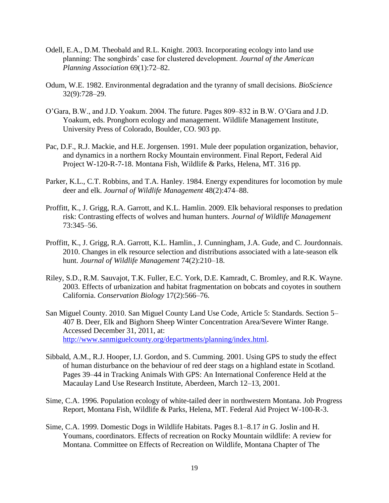- Odell, E.A., D.M. Theobald and R.L. Knight. 2003. Incorporating ecology into land use planning: The songbirds' case for clustered development. *[Journal of the American](http://www.informaworld.com/smpp/title~db=all~content=t782043358)  [Planning Association](http://www.informaworld.com/smpp/title~db=all~content=t782043358)* [69\(](http://www.informaworld.com/smpp/title~db=all~content=t782043358~tab=issueslist~branches=69#v69)1):72–82.
- Odum, W.E. 1982. Environmental degradation and the tyranny of small decisions. *BioScience* 32(9):728–29.
- O'Gara, B.W., and J.D. Yoakum. 2004. The future. Pages 809–832 in B.W. O'Gara and J.D. Yoakum, eds. Pronghorn ecology and management. Wildlife Management Institute, University Press of Colorado, Boulder, CO. 903 pp.
- Pac, D.F., R.J. Mackie, and H.E. Jorgensen. 1991. Mule deer population organization, behavior, and dynamics in a northern Rocky Mountain environment. Final Report, Federal Aid Project W-120-R-7-18. Montana Fish, Wildlife & Parks, Helena, MT. 316 pp.
- Parker, K.L., C.T. Robbins, and T.A. Hanley. 1984. Energy expenditures for locomotion by mule deer and elk. *Journal of Wildlife Management* 48(2):474–88.
- Proffitt, K., J. Grigg, R.A. Garrott, and K.L. Hamlin. 2009. Elk behavioral responses to predation risk: Contrasting effects of wolves and human hunters. *Journal of Wildlife Management* 73:345–56.
- Proffitt, K., J. Grigg, R.A. Garrott, K.L. Hamlin., J. Cunningham, J.A. Gude, and C. Jourdonnais. 2010. Changes in elk resource selection and distributions associated with a late-season elk hunt. *Journal of Wildlife Management* 74(2):210–18.
- Riley, S.D., R.M. Sauvajot, T.K. Fuller, E.C. York, D.E. Kamradt, C. Bromley, and R.K. Wayne. 2003. Effects of urbanization and habitat fragmentation on bobcats and coyotes in southern California. *Conservation Biology* 17(2):566–76.
- San Miguel County. 2010. San Miguel County Land Use Code, Article 5: Standards. Section 5– 407 B. Deer, Elk and Bighorn Sheep Winter Concentration Area/Severe Winter Range. Accessed December 31, 2011, at: [http://www.sanmiguelcounty.org/departments/planning/index.html.](http://www.sanmiguelcounty.org/departments/planning/index.html)
- Sibbald, A.M., R.J. Hooper, I.J. Gordon, and S. Cumming. 2001. Using GPS to study the effect of human disturbance on the behaviour of red deer stags on a highland estate in Scotland. Pages 39–44 in Tracking Animals With GPS: An International Conference Held at the Macaulay Land Use Research Institute, Aberdeen, March 12–13, 2001.
- Sime, C.A. 1996. Population ecology of white-tailed deer in northwestern Montana. Job Progress Report, Montana Fish, Wildlife & Parks, Helena, MT. Federal Aid Project W-100-R-3.
- Sime, C.A. 1999. Domestic Dogs in Wildlife Habitats. Pages 8.1–8.17 *in* G. Joslin and H. Youmans, coordinators. Effects of recreation on Rocky Mountain wildlife: A review for Montana. Committee on Effects of Recreation on Wildlife, Montana Chapter of The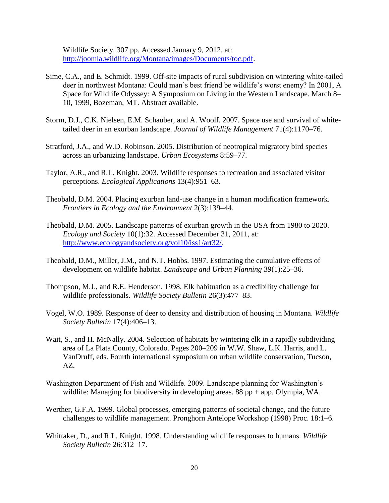Wildlife Society. 307 pp. Accessed January 9, 2012, at: [http://joomla.wildlife.org/Montana/images/Documents/toc.pdf.](http://joomla.wildlife.org/Montana/images/Documents/toc.pdf)

- Sime, C.A., and E. Schmidt. 1999. Off-site impacts of rural subdivision on wintering white-tailed deer in northwest Montana: Could man's best friend be wildlife's worst enemy? In 2001, A Space for Wildlife Odyssey: A Symposium on Living in the Western Landscape. March 8– 10, 1999, Bozeman, MT. Abstract available.
- Storm, D.J., C.K. Nielsen, E.M. Schauber, and A. Woolf. 2007. Space use and survival of whitetailed deer in an exurban landscape. *Journal of Wildlife Management* 71(4):1170–76.
- Stratford, J.A., and W.D. Robinson. 2005. Distribution of neotropical migratory bird species across an urbanizing landscape. *Urban Ecosystems* 8:59–77.
- Taylor, A.R., and R.L. Knight. 2003. Wildlife responses to recreation and associated visitor perceptions. *Ecological Applications* 13(4):951–63.
- Theobald, D.M. 2004. Placing exurban land-use change in a human modification framework. *Frontiers in Ecology and the Environment* 2(3):139–44.
- Theobald, D.M. 2005. Landscape patterns of exurban growth in the USA from 1980 to 2020. *Ecology and Society* 10(1):32. Accessed December 31, 2011, at: [http://www.ecologyandsociety.org/vol10/iss1/art32/.](http://www.ecologyandsociety.org/vol10/iss1/art32/)
- Theobald, D.M., Miller, J.M., and N.T. Hobbs. 1997. Estimating the cumulative effects of development on wildlife habitat. *Landscape and Urban Planning* 39(1):25–36.
- Thompson, M.J., and R.E. Henderson. 1998. Elk habituation as a credibility challenge for wildlife professionals. *Wildlife Society Bulletin* 26(3):477–83.
- Vogel, W.O. 1989. Response of deer to density and distribution of housing in Montana. *Wildlife Society Bulletin* 17(4):406–13.
- Wait, S., and H. McNally. 2004. Selection of habitats by wintering elk in a rapidly subdividing area of La Plata County, Colorado. Pages 200–209 in W.W. Shaw, L.K. Harris, and L. VanDruff, eds. Fourth international symposium on urban wildlife conservation, Tucson, AZ.
- Washington Department of Fish and Wildlife. 2009. Landscape planning for Washington's wildlife: Managing for biodiversity in developing areas. 88 pp + app. Olympia, WA.
- Werther, G.F.A. 1999. Global processes, emerging patterns of societal change, and the future challenges to wildlife management. Pronghorn Antelope Workshop (1998) Proc. 18:1–6.
- Whittaker, D., and R.L. Knight. 1998. Understanding wildlife responses to humans. *Wildlife Society Bulletin* 26:312–17.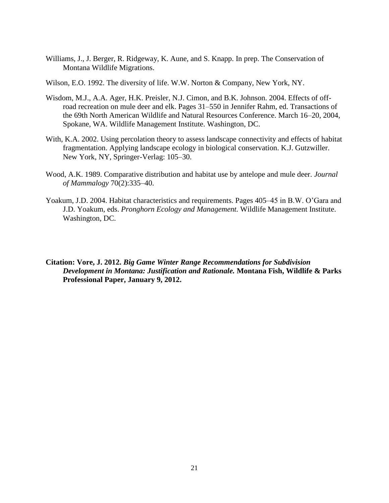Williams, J., J. Berger, R. Ridgeway, K. Aune, and S. Knapp. In prep. The Conservation of Montana Wildlife Migrations.

Wilson, E.O. 1992. The diversity of life. W.W. Norton & Company, New York, NY.

- Wisdom, M.J., A.A. Ager, H.K. Preisler, N.J. Cimon, and B.K. Johnson. 2004. Effects of offroad recreation on mule deer and elk. Pages 31–550 in Jennifer Rahm, ed. Transactions of the 69th North American Wildlife and Natural Resources Conference. March 16–20, 2004, Spokane, WA. Wildlife Management Institute. Washington, DC.
- With, K.A. 2002. Using percolation theory to assess landscape connectivity and effects of habitat fragmentation. Applying landscape ecology in biological conservation. K.J. Gutzwiller. New York, NY, Springer-Verlag: 105–30.
- Wood, A.K. 1989. Comparative distribution and habitat use by antelope and mule deer. *Journal of Mammalogy* 70(2):335–40.
- Yoakum, J.D. 2004. Habitat characteristics and requirements. Pages 405–45 in B.W. O'Gara and J.D. Yoakum, eds. *Pronghorn Ecology and Management.* Wildlife Management Institute. Washington, DC.

**Citation: Vore, J. 2012.** *Big Game Winter Range Recommendations for Subdivision Development in Montana: Justification and Rationale.* **Montana Fish, Wildlife & Parks Professional Paper, January 9, 2012.**